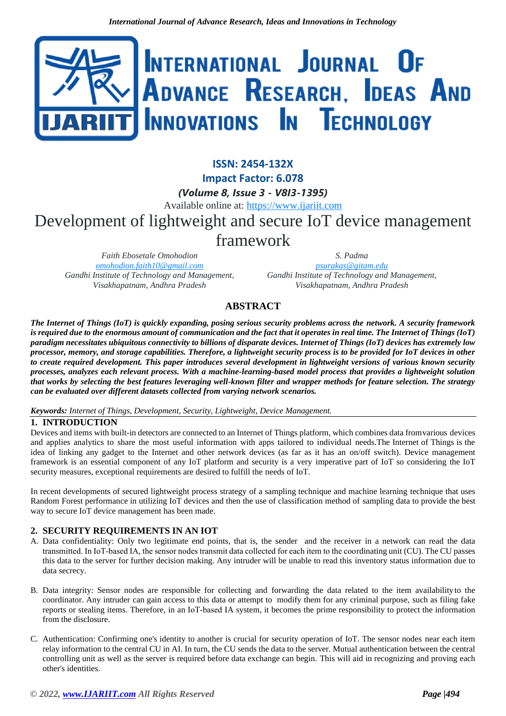

# **ISSN: 2454-132X Impact Factor: 6.078** *(Volume 8, Issue 3 - V8I3-1395)* Available online at: [https://www.ijariit.com](https://www.ijariit.com/?utm_source=pdf&utm_medium=edition&utm_campaign=OmAkSols&utm_term=V8I3-1395) Development of lightweight and secure IoT device management framework

*Faith Ebosetale Omohodion [omohodion.faith10@gmail.com](mailto:omohodion.faith10@gmail.com) Gandhi Institute of Technology and Management, Visakhapatnam, Andhra Pradesh*

*S. Padma [psurakas@gitam.edu](mailto:psurakas@gitam.edu) Gandhi Institute of Technology and Management, Visakhapatnam, Andhra Pradesh*

# **ABSTRACT**

*The Internet of Things (IoT) is quickly expanding, posing serious security problems across the network. A security framework*  is required due to the enormous amount of communication and the fact that it *operates in real time. The Internet of Things* (IoT) *paradigm necessitates ubiquitous connectivity to billions of disparate devices. Internet of Things (IoT) devices has extremely low processor, memory, and storage capabilities. Therefore, a lightweight security process is to be provided for IoT devices in other to create required development. This paper introduces several development in lightweight versions of various known security processes, analyzes each relevant process. With a machine-learning-based model process that provides a lightweight solution that works by selecting the best features leveraging well-known filter and wrapper methods for feature selection. The strategy can be evaluated over different datasets collected from varying network scenarios.*

## *Keywords: Internet of Things, Development, Security, Lightweight, Device Management.*

# **1. INTRODUCTION**

Devices and items with built-in detectors are connected to an Internet of Things platform, which combines data fromvarious devices and applies analytics to share the most useful information with apps tailored to individual needs.The Internet of Things is the idea of linking any gadget to the Internet and other network devices (as far as it has an on/off switch). Device management framework is an essential component of any IoT platform and security is a very imperative part of IoT so considering the IoT security measures, exceptional requirements are desired to fulfill the needs of IoT.

In recent developments of secured lightweight process strategy of a sampling technique and machine learning technique that uses Random Forest performance in utilizing IoT devices and then the use of classification method of sampling data to provide the best way to secure IoT device management has been made.

# **2. SECURITY REQUIREMENTS IN AN IOT**

- A. Data confidentiality: Only two legitimate end points, that is, the sender and the receiver in a network can read the data transmitted. In IoT‐based IA, the sensor nodes transmit data collected for each item to the coordinating unit (CU). The CU passes this data to the server for further decision making. Any intruder will be unable to read this inventory status information due to data secrecy.
- B. Data integrity: Sensor nodes are responsible for collecting and forwarding the data related to the item availabilityto the coordinator. Any intruder can gain access to this data or attempt to modify them for any criminal purpose, such as filing fake reports or stealing items. Therefore, in an IoT-based IA system, it becomes the prime responsibility to protect the information from the disclosure.
- C. Authentication: Confirming one's identity to another is crucial for security operation of IoT. The sensor nodes near each item relay information to the central CU in AI. In turn, the CU sends the data to the server. Mutual authentication between the central controlling unit as well as the server is required before data exchange can begin. This will aid in recognizing and proving each other's identities.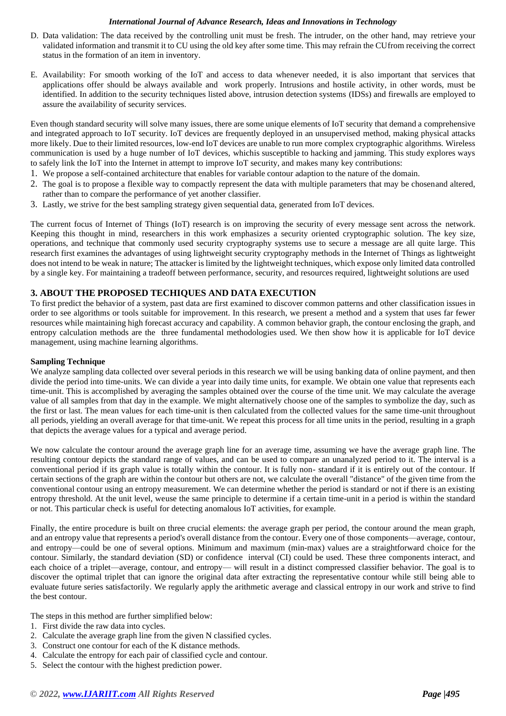#### *International Journal of Advance Research, Ideas and Innovations in Technology*

- D. Data validation: The data received by the controlling unit must be fresh. The intruder, on the other hand, may retrieve your validated information and transmit it to CU using the old key after some time. This may refrain the CUfrom receiving the correct status in the formation of an item in inventory.
- E. Availability: For smooth working of the IoT and access to data whenever needed, it is also important that services that applications offer should be always available and work properly. Intrusions and hostile activity, in other words, must be identified. In addition to the security techniques listed above, intrusion detection systems (IDSs) and firewalls are employed to assure the availability of security services.

Even though standard security will solve many issues, there are some unique elements of IoT security that demand a comprehensive and integrated approach to IoT security. IoT devices are frequently deployed in an unsupervised method, making physical attacks more likely. Due to their limited resources, low-end IoT devices are unable to run more complex cryptographic algorithms. Wireless communication is used by a huge number of IoT devices, whichis susceptible to hacking and jamming. This study explores ways to safely link the IoT into the Internet in attempt to improve IoT security, and makes many key contributions:

- 1. We propose a self-contained architecture that enables for variable contour adaption to the nature of the domain.
- 2. The goal is to propose a flexible way to compactly represent the data with multiple parameters that may be chosenand altered, rather than to compare the performance of yet another classifier.
- 3. Lastly, we strive for the best sampling strategy given sequential data, generated from IoT devices.

The current focus of Internet of Things (IoT) research is on improving the security of every message sent across the network. Keeping this thought in mind, researchers in this work emphasizes a security oriented cryptographic solution. The key size, operations, and technique that commonly used security cryptography systems use to secure a message are all quite large. This research first examines the advantages of using lightweight security cryptography methods in the Internet of Things as lightweight does not intend to be weak in nature; The attacker is limited by the lightweight techniques, which expose only limited data controlled by a single key. For maintaining a tradeoff between performance, security, and resources required, lightweight solutions are used

## **3. ABOUT THE PROPOSED TECHIQUES AND DATA EXECUTION**

To first predict the behavior of a system, past data are first examined to discover common patterns and other classification issues in order to see algorithms or tools suitable for improvement. In this research, we present a method and a system that uses far fewer resources while maintaining high forecast accuracy and capability. A common behavior graph, the contour enclosing the graph, and entropy calculation methods are the three fundamental methodologies used. We then show how it is applicable for IoT device management, using machine learning algorithms.

#### **Sampling Technique**

We analyze sampling data collected over several periods in this research we will be using banking data of online payment, and then divide the period into time-units. We can divide a year into daily time units, for example. We obtain one value that represents each time-unit. This is accomplished by averaging the samples obtained over the course of the time unit. We may calculate the average value of all samples from that day in the example. We might alternatively choose one of the samples to symbolize the day, such as the first or last. The mean values for each time-unit is then calculated from the collected values for the same time-unit throughout all periods, yielding an overall average for that time-unit. We repeat this process for all time units in the period, resulting in a graph that depicts the average values for a typical and average period.

We now calculate the contour around the average graph line for an average time, assuming we have the average graph line. The resulting contour depicts the standard range of values, and can be used to compare an unanalyzed period to it. The interval is a conventional period if its graph value is totally within the contour. It is fully non- standard if it is entirely out of the contour. If certain sections of the graph are within the contour but others are not, we calculate the overall "distance" of the given time from the conventional contour using an entropy measurement. We can determine whether the period is standard or not if there is an existing entropy threshold. At the unit level, weuse the same principle to determine if a certain time-unit in a period is within the standard or not. This particular check is useful for detecting anomalous IoT activities, for example.

Finally, the entire procedure is built on three crucial elements: the average graph per period, the contour around the mean graph, and an entropy value that represents a period's overall distance from the contour. Every one of those components—average, contour, and entropy—could be one of several options. Minimum and maximum (min-max) values are a straightforward choice for the contour. Similarly, the standard deviation (SD) or confidence interval (CI) could be used. These three components interact, and each choice of a triplet—average, contour, and entropy— will result in a distinct compressed classifier behavior. The goal is to discover the optimal triplet that can ignore the original data after extracting the representative contour while still being able to evaluate future series satisfactorily. We regularly apply the arithmetic average and classical entropy in our work and strive to find the best contour.

The steps in this method are further simplified below:

- 1. First divide the raw data into cycles.
- 2. Calculate the average graph line from the given N classified cycles.
- 3. Construct one contour for each of the K distance methods.
- 4. Calculate the entropy for each pair of classified cycle and contour.
- 5. Select the contour with the highest prediction power.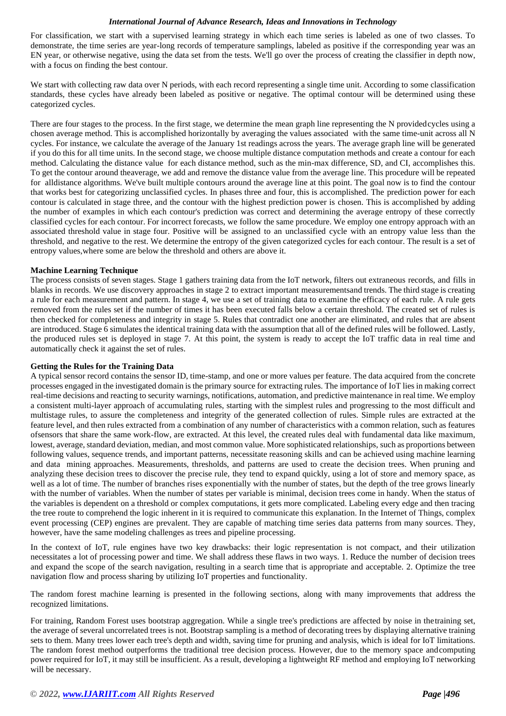#### *International Journal of Advance Research, Ideas and Innovations in Technology*

For classification, we start with a supervised learning strategy in which each time series is labeled as one of two classes. To demonstrate, the time series are year-long records of temperature samplings, labeled as positive if the corresponding year was an EN year, or otherwise negative, using the data set from the tests. We'll go over the process of creating the classifier in depth now, with a focus on finding the best contour.

We start with collecting raw data over N periods, with each record representing a single time unit. According to some classification standards, these cycles have already been labeled as positive or negative. The optimal contour will be determined using these categorized cycles.

There are four stages to the process. In the first stage, we determine the mean graph line representing the N providedcycles using a chosen average method. This is accomplished horizontally by averaging the values associated with the same time-unit across all N cycles. For instance, we calculate the average of the January 1st readings across the years. The average graph line will be generated if you do this for all time units. In the second stage, we choose multiple distance computation methods and create a contour for each method. Calculating the distance value for each distance method, such as the min-max difference, SD, and CI, accomplishes this. To get the contour around theaverage, we add and remove the distance value from the average line. This procedure will be repeated for alldistance algorithms. We've built multiple contours around the average line at this point. The goal now is to find the contour that works best for categorizing unclassified cycles. In phases three and four, this is accomplished. The prediction power for each contour is calculated in stage three, and the contour with the highest prediction power is chosen. This is accomplished by adding the number of examples in which each contour's prediction was correct and determining the average entropy of these correctly classified cycles for each contour. For incorrect forecasts, we follow the same procedure. We employ one entropy approach with an associated threshold value in stage four. Positive will be assigned to an unclassified cycle with an entropy value less than the threshold, and negative to the rest. We determine the entropy of the given categorized cycles for each contour. The result is a set of entropy values,where some are below the threshold and others are above it.

#### **Machine Learning Technique**

The process consists of seven stages. Stage 1 gathers training data from the IoT network, filters out extraneous records, and fills in blanks in records. We use discovery approaches in stage 2 to extract important measurementsand trends. The third stage is creating a rule for each measurement and pattern. In stage 4, we use a set of training data to examine the efficacy of each rule. A rule gets removed from the rules set if the number of times it has been executed falls below a certain threshold. The created set of rules is then checked for completeness and integrity in stage 5. Rules that contradict one another are eliminated, and rules that are absent are introduced. Stage 6 simulates the identical training data with the assumption that all of the defined rules will be followed. Lastly, the produced rules set is deployed in stage 7. At this point, the system is ready to accept the IoT traffic data in real time and automatically check it against the set of rules.

#### **Getting the Rules for the Training Data**

A typical sensor record contains the sensor ID, time-stamp, and one or more values per feature. The data acquired from the concrete processes engaged in the investigated domain is the primary source for extracting rules. The importance of IoT lies in making correct real-time decisions and reacting to security warnings, notifications, automation, and predictive maintenance in real time. We employ a consistent multi-layer approach of accumulating rules, starting with the simplest rules and progressing to the most difficult and multistage rules, to assure the completeness and integrity of the generated collection of rules. Simple rules are extracted at the feature level, and then rules extracted from a combination of any number of characteristics with a common relation, such as features ofsensors that share the same work-flow, are extracted. At this level, the created rules deal with fundamental data like maximum, lowest, average, standard deviation, median, and most common value. More sophisticated relationships, such as proportions between following values, sequence trends, and important patterns, necessitate reasoning skills and can be achieved using machine learning and data mining approaches. Measurements, thresholds, and patterns are used to create the decision trees. When pruning and analyzing these decision trees to discover the precise rule, they tend to expand quickly, using a lot of store and memory space, as well as a lot of time. The number of branches rises exponentially with the number of states, but the depth of the tree grows linearly with the number of variables. When the number of states per variable is minimal, decision trees come in handy. When the status of the variables is dependent on a threshold or complex computations, it gets more complicated. Labeling every edge and then tracing the tree route to comprehend the logic inherent in it is required to communicate this explanation. In the Internet of Things, complex event processing (CEP) engines are prevalent. They are capable of matching time series data patterns from many sources. They, however, have the same modeling challenges as trees and pipeline processing.

In the context of IoT, rule engines have two key drawbacks: their logic representation is not compact, and their utilization necessitates a lot of processing power and time. We shall address these flaws in two ways. 1. Reduce the number of decision trees and expand the scope of the search navigation, resulting in a search time that is appropriate and acceptable. 2. Optimize the tree navigation flow and process sharing by utilizing IoT properties and functionality.

The random forest machine learning is presented in the following sections, along with many improvements that address the recognized limitations.

For training, Random Forest uses bootstrap aggregation. While a single tree's predictions are affected by noise in thetraining set, the average of several uncorrelated trees is not. Bootstrap sampling is a method of decorating trees by displaying alternative training sets to them. Many trees lower each tree's depth and width, saving time for pruning and analysis, which is ideal for IoT limitations. The random forest method outperforms the traditional tree decision process. However, due to the memory space andcomputing power required for IoT, it may still be insufficient. As a result, developing a lightweight RF method and employing IoT networking will be necessary.